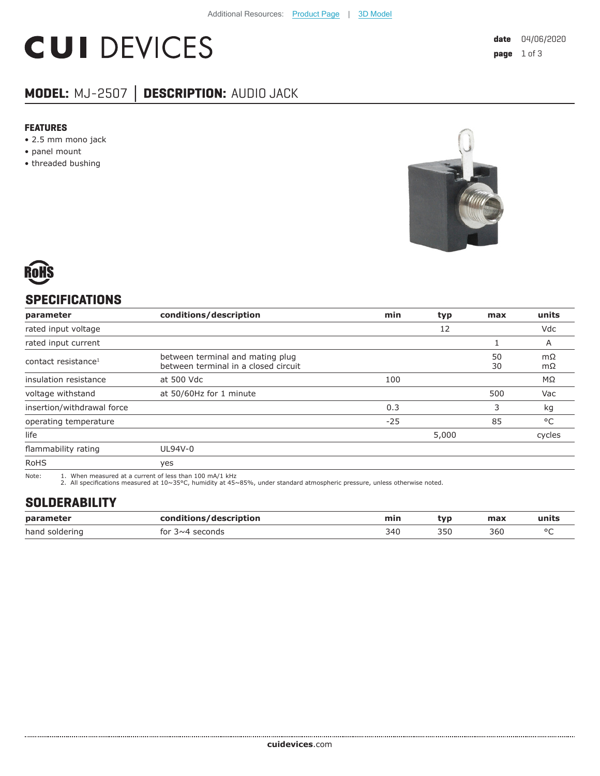# **CUI DEVICES**

## **MODEL:** MJ-2507 **│ DESCRIPTION:** AUDIO JACK

#### **FEATURES**

- 2.5 mm mono jack
- panel mount
- threaded bushing





## **SPECIFICATIONS**

| parameter                       | conditions/description                                                   | min   | typ   | max      | units                  |
|---------------------------------|--------------------------------------------------------------------------|-------|-------|----------|------------------------|
| rated input voltage             |                                                                          |       | 12    |          | Vdc                    |
| rated input current             |                                                                          |       |       |          | A                      |
| contact resistance <sup>1</sup> | between terminal and mating plug<br>between terminal in a closed circuit |       |       | 50<br>30 | $m\Omega$<br>$m\Omega$ |
| insulation resistance           | at 500 Vdc                                                               | 100   |       |          | ΜΩ                     |
| voltage withstand               | at 50/60Hz for 1 minute                                                  |       |       | 500      | Vac                    |
| insertion/withdrawal force      |                                                                          | 0.3   |       | 3        | kg                     |
| operating temperature           |                                                                          | $-25$ |       | 85       | $^{\circ}$ C           |
| life                            |                                                                          |       | 5,000 |          | cycles                 |
| flammability rating             | UL94V-0                                                                  |       |       |          |                        |
| <b>RoHS</b>                     | yes                                                                      |       |       |          |                        |

Note: 1. When measured at a current of less than 100 mA/1 kHz 2. All specifications measured at 10~35°C, humidity at 45~85%, under standard atmospheric pressure, unless otherwise noted.

## **SOLDERABILITY**

| parameter           | conditions/description | min | tvr | max |  |
|---------------------|------------------------|-----|-----|-----|--|
| hand<br>' soldering | tor<br>seconds<br>⊀∼4  | 340 |     | 360 |  |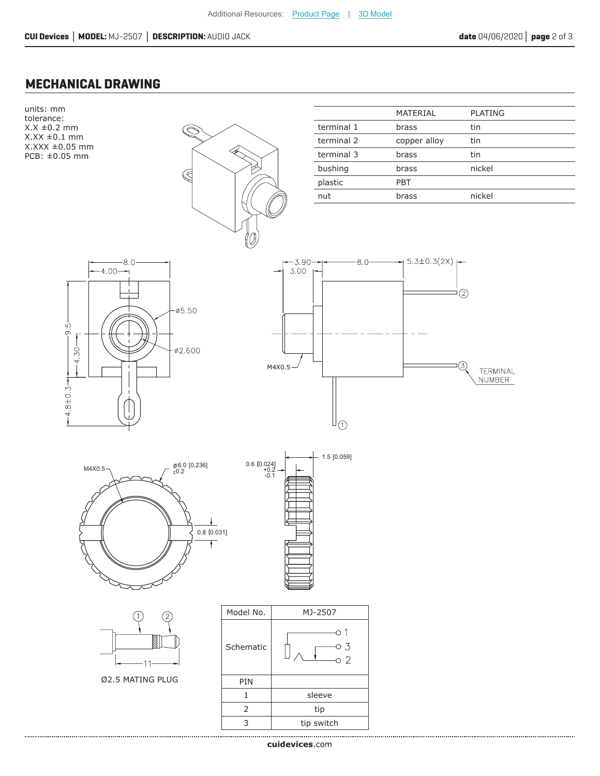### **MECHANICAL DRAWING**